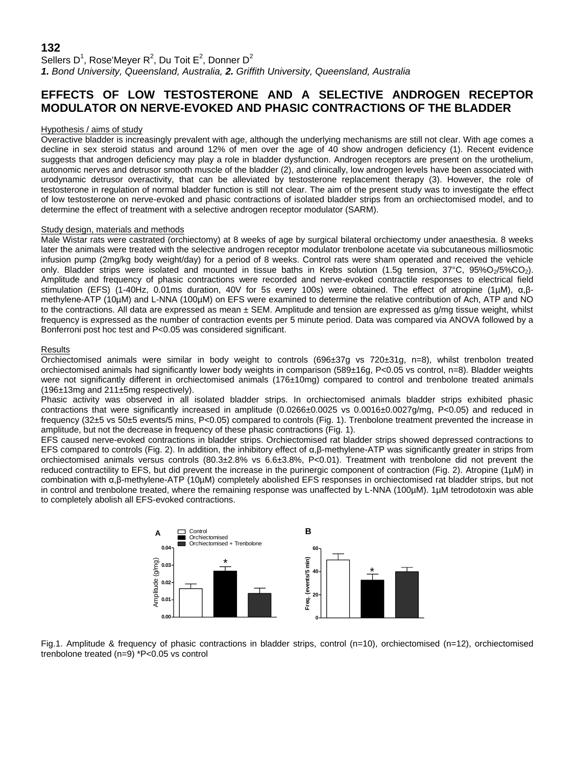## **132**

Sellers D<sup>1</sup>, Rose'Meyer R<sup>2</sup>, Du Toit E<sup>2</sup>, Donner D<sup>2</sup> *1. Bond University, Queensland, Australia, 2. Griffith University, Queensland, Australia*

# **EFFECTS OF LOW TESTOSTERONE AND A SELECTIVE ANDROGEN RECEPTOR MODULATOR ON NERVE-EVOKED AND PHASIC CONTRACTIONS OF THE BLADDER**

### Hypothesis / aims of study

Overactive bladder is increasingly prevalent with age, although the underlying mechanisms are still not clear. With age comes a decline in sex steroid status and around 12% of men over the age of 40 show androgen deficiency (1). Recent evidence suggests that androgen deficiency may play a role in bladder dysfunction. Androgen receptors are present on the urothelium, autonomic nerves and detrusor smooth muscle of the bladder (2), and clinically, low androgen levels have been associated with urodynamic detrusor overactivity, that can be alleviated by testosterone replacement therapy (3). However, the role of testosterone in regulation of normal bladder function is still not clear. The aim of the present study was to investigate the effect of low testosterone on nerve-evoked and phasic contractions of isolated bladder strips from an orchiectomised model, and to determine the effect of treatment with a selective androgen receptor modulator (SARM).

### Study design, materials and methods

Male Wistar rats were castrated (orchiectomy) at 8 weeks of age by surgical bilateral orchiectomy under anaesthesia. 8 weeks later the animals were treated with the selective androgen receptor modulator trenbolone acetate via subcutaneous milliosmotic infusion pump (2mg/kg body weight/day) for a period of 8 weeks. Control rats were sham operated and received the vehicle only. Bladder strips were isolated and mounted in tissue baths in Krebs solution (1.5g tension, 37°C, 95%O<sub>2</sub>/5%CO<sub>2</sub>). Amplitude and frequency of phasic contractions were recorded and nerve-evoked contractile responses to electrical field stimulation (EFS) (1-40Hz, 0.01ms duration, 40V for 5s every 100s) were obtained. The effect of atropine (1µM), α,βmethylene-ATP (10µM) and L-NNA (100µM) on EFS were examined to determine the relative contribution of Ach, ATP and NO to the contractions. All data are expressed as mean  $\pm$  SEM. Amplitude and tension are expressed as g/mg tissue weight, whilst frequency is expressed as the number of contraction events per 5 minute period. Data was compared via ANOVA followed by a Bonferroni post hoc test and P<0.05 was considered significant.

### Results

Orchiectomised animals were similar in body weight to controls (696±37g vs 720±31g, n=8), whilst trenbolon treated orchiectomised animals had significantly lower body weights in comparison (589±16g, P<0.05 vs control, n=8). Bladder weights were not significantly different in orchiectomised animals (176±10mg) compared to control and trenbolone treated animals (196±13mg and 211±5mg respectively).

Phasic activity was observed in all isolated bladder strips. In orchiectomised animals bladder strips exhibited phasic contractions that were significantly increased in amplitude (0.0266±0.0025 vs 0.0016±0.0027g/mg, P<0.05) and reduced in frequency (32±5 vs 50±5 events/5 mins, P<0.05) compared to controls (Fig. 1). Trenbolone treatment prevented the increase in amplitude, but not the decrease in frequency of these phasic contractions (Fig. 1).

EFS caused nerve-evoked contractions in bladder strips. Orchiectomised rat bladder strips showed depressed contractions to EFS compared to controls (Fig. 2). In addition, the inhibitory effect of α,β-methylene-ATP was significantly greater in strips from orchiectomised animals versus controls (80.3±2.8% vs 6.6±3.8%, P<0.01). Treatment with trenbolone did not prevent the reduced contractility to EFS, but did prevent the increase in the purinergic component of contraction (Fig. 2). Atropine (1µM) in combination with α,β-methylene-ATP (10µM) completely abolished EFS responses in orchiectomised rat bladder strips, but not in control and trenbolone treated, where the remaining response was unaffected by L-NNA (100µM). 1µM tetrodotoxin was able to completely abolish all EFS-evoked contractions.



Fig.1. Amplitude & frequency of phasic contractions in bladder strips, control (n=10), orchiectomised (n=12), orchiectomised trenbolone treated (n=9) \*P<0.05 vs control